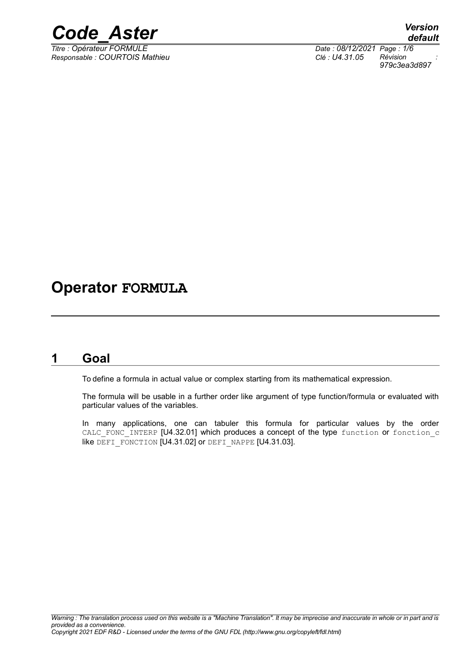

*Responsable : COURTOIS Mathieu Clé : U4.31.05 Révision :*

*Titre : Opérateur FORMULE Date : 08/12/2021 Page : 1/6 979c3ea3d897*

## **Operator FORMULA**

## **1 Goal**

To define a formula in actual value or complex starting from its mathematical expression.

The formula will be usable in a further order like argument of type function/formula or evaluated with particular values of the variables.

In many applications, one can tabuler this formula for particular values by the order CALC FONC INTERP [U4.32.01] which produces a concept of the type function or fonction c like DEFI\_FONCTION [U4.31.02] or DEFI\_NAPPE [U4.31.03].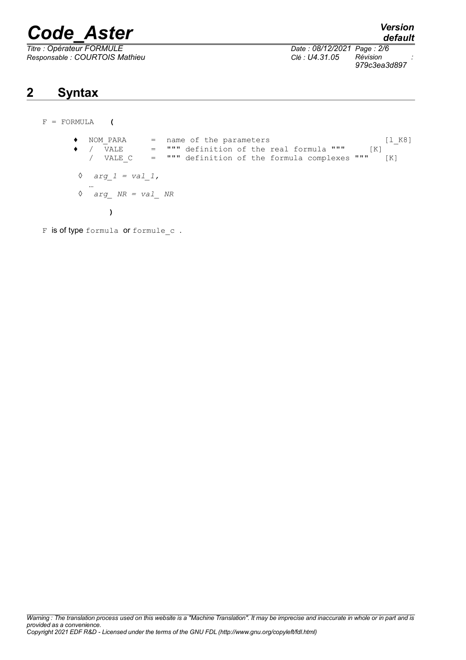*Responsable : COURTOIS Mathieu Clé : U4.31.05 Révision :*

## *Titre : Opérateur FORMULE Date : 08/12/2021 Page : 2/6*

*979c3ea3d897*

*default*

## **2 Syntax**

| $F = FORMULA$ |                                    |            |                                                                                                                   |  |     |               |
|---------------|------------------------------------|------------|-------------------------------------------------------------------------------------------------------------------|--|-----|---------------|
| ٠             | NOM PARA<br>VALE<br>VALE C         | $=$<br>$=$ | name of the parameters<br>""" definition of the real formula """<br>= """ definition of the formula complexes """ |  | [K] | [1 K8]<br>[K] |
| ♦             | $arg 1 = val_1,$                   |            |                                                                                                                   |  |     |               |
| ♦             | <br>$arg$ $NR$ = $val$ $NR$        |            |                                                                                                                   |  |     |               |
|               |                                    |            |                                                                                                                   |  |     |               |
|               | F is of type formula or formule c. |            |                                                                                                                   |  |     |               |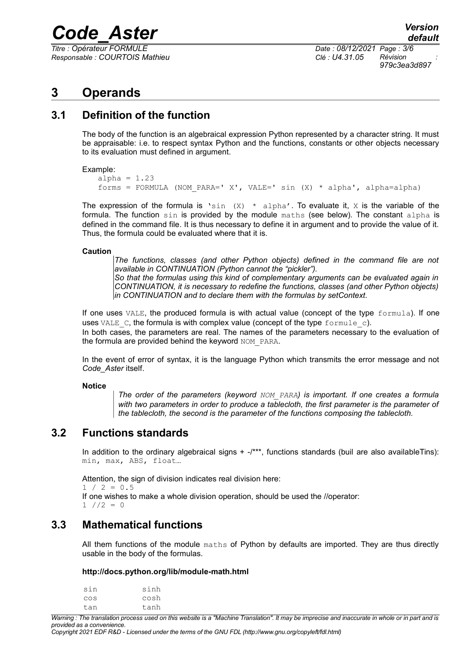*Titre : Opérateur FORMULE Date : 08/12/2021 Page : 3/6 Responsable : COURTOIS Mathieu Clé : U4.31.05 Révision :*

*979c3ea3d897*

## **3 Operands**

### **3.1 Definition of the function**

The body of the function is an algebraical expression Python represented by a character string. It must be appraisable: i.e. to respect syntax Python and the functions, constants or other objects necessary to its evaluation must defined in argument.

#### Example:

```
alpha = 1.23forms = FORMULA (NOM_PARA=' X', VALE=' sin (X) * alpha', alpha=alpha)
```
The expression of the formula is 'sin  $(X)$  \* alpha'. To evaluate it, X is the variable of the formula. The function sin is provided by the module maths (see below). The constant alpha is defined in the command file. It is thus necessary to define it in argument and to provide the value of it. Thus, the formula could be evaluated where that it is.

#### **Caution**

*The functions, classes (and other Python objects) defined in the command file are not available in CONTINUATION (Python cannot the "pickler"). So that the formulas using this kind of complementary arguments can be evaluated again in*

*CONTINUATION, it is necessary to redefine the functions, classes (and other Python objects) in CONTINUATION and to declare them with the formulas by setContext.* 

If one uses VALE, the produced formula is with actual value (concept of the type formula). If one uses VALE  $\,$  c, the formula is with complex value (concept of the type  $\,$  formule  $\,$  c).

In both cases, the parameters are real. The names of the parameters necessary to the evaluation of the formula are provided behind the keyword NOM\_PARA.

In the event of error of syntax, it is the language Python which transmits the error message and not *Code\_Aster* itself.

### **Notice**

*The order of the parameters (keyword NOM\_PARA) is important. If one creates a formula with two parameters in order to produce a tablecloth, the first parameter is the parameter of the tablecloth, the second is the parameter of the functions composing the tablecloth.*

### **3.2 Functions standards**

In addition to the ordinary algebraical signs + -/\*\*\*, functions standards (buil are also availableTins): min, max, ABS, float…

Attention, the sign of division indicates real division here:  $1 / 2 = 0.5$ If one wishes to make a whole division operation, should be used the //operator:  $1 / / 2 = 0$ 

### **3.3 Mathematical functions**

All them functions of the module maths of Python by defaults are imported. They are thus directly usable in the body of the formulas.

### **http://docs.python.org/lib/module-math.html**

| sin | sinh |
|-----|------|
| COS | cosh |
| tan | tanh |

*Warning : The translation process used on this website is a "Machine Translation". It may be imprecise and inaccurate in whole or in part and is provided as a convenience.*

*Copyright 2021 EDF R&D - Licensed under the terms of the GNU FDL (http://www.gnu.org/copyleft/fdl.html)*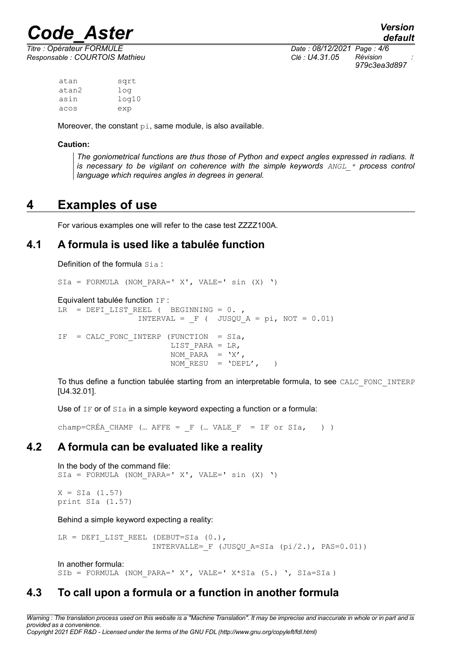*Responsable : COURTOIS Mathieu Clé : U4.31.05 Révision :*

*Titre : Opérateur FORMULE Date : 08/12/2021 Page : 4/6 979c3ea3d897*

*default*

| atan  | sqrt        |
|-------|-------------|
| atan2 | log         |
| asin  | $1$ oq $10$ |
| acos  | exp         |

Moreover, the constant pi, same module, is also available.

### **Caution:**

*The goniometrical functions are thus those of Python and expect angles expressed in radians. It is necessary to be vigilant on coherence with the simple keywords ANGL\_\* process control language which requires angles in degrees in general.*

### **4 Examples of use**

For various examples one will refer to the case test ZZZZ100A.

### **4.1 A formula is used like a tabulée function**

Definition of the formula Sia :

SIa = FORMULA (NOM PARA=' X', VALE=' sin  $(X)$  ')

Equivalent tabulée function IF :

```
LR = DEFI_LIST_REEL ( BEGINNING = 0. ,
                INTERVAL = F ( JUSQU A = pi, NOT = 0.01)
IF = CALC FONC INTERP (FUNCTION = SIa,
                       LIST PARA = LR,
                       NOM PARA = 'X',
                       NOM RESU = 'DEFL', )
```
To thus define a function tabulée starting from an interpretable formula, to see CALC\_FONC\_INTERP [U4.32.01].

Use of  $IF$  or of  $SIa$  in a simple keyword expecting a function or a formula:

champ=CRÉA CHAMP (... AFFE =  $F$  (... VALE  $F = IF$  or SIa, ) )

### **4.2 A formula can be evaluated like a reality**

```
In the body of the command file:
SIA = FORMULA (NOM PARA=' X', VALE=' sin (X) ' )X = SIa (1.57)
```
print SIa (1.57)

Behind a simple keyword expecting a reality:

```
LR = DEFI_LIST_REEL (DEBUT=SIa (0.),
                      INTERVALLE=_F (JUSQU_A=SIa (pi/2.), PAS=0.01))
In another formula:
SID = FORMULA (NOM PARA=' X', VALE=' X*SIA (5.)) ', SIa=SIa)
```
### **4.3 To call upon a formula or a function in another formula**

*Warning : The translation process used on this website is a "Machine Translation". It may be imprecise and inaccurate in whole or in part and is provided as a convenience. Copyright 2021 EDF R&D - Licensed under the terms of the GNU FDL (http://www.gnu.org/copyleft/fdl.html)*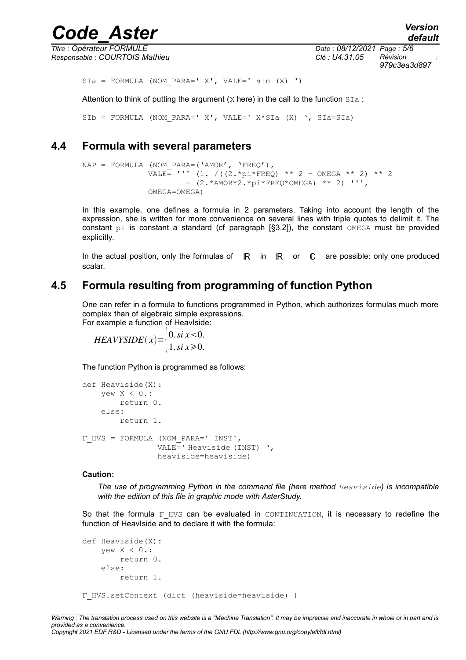*Responsable : COURTOIS Mathieu Clé : U4.31.05 Révision :*

*default Titre : Opérateur FORMULE Date : 08/12/2021 Page : 5/6 979c3ea3d897*

```
SIA = FORMULA (NOM PARA=' X', VALE=' sin (X) ')
```
Attention to think of putting the argument  $(X \text{ here})$  in the call to the function  $SIA$ :

```
SID = FORMULA (NOM PARA=' X', VALE=' X*SIA (X) ', SIa=SIA)
```
### **4.4 Formula with several parameters**

```
NAP = FORMULA (NOM PARA=('AMOR', 'FREQ'),
               VALE= ''' (1. /((2.*pi*FREQ) ** 2 - OMEGA ** 2) ** 2 
                        + (2.*AMOR*2.*pi*FREQ*OMEGA) ** 2) ''',
               OMEGA=OMEGA)
```
In this example, one defines a formula in 2 parameters. Taking into account the length of the expression, she is written for more convenience on several lines with triple quotes to delimit it. The constant  $pi$  is constant a standard (cf paragraph [§3.2]), the constant OMEGA must be provided explicitly.

In the actual position, only the formulas of R in R or C are possible: only one produced scalar.

### **4.5 Formula resulting from programming of function Python**

One can refer in a formula to functions programmed in Python, which authorizes formulas much more complex than of algebraic simple expressions. For example a function of HeavIside:

 $HEAVYSIDE(x) = \begin{cases} 0. \text{si } x < 0. \\ 1. \text{si } x \ge 0. \end{cases}$ 1.*si*  $x \ge 0$ .

The function Python is programmed as follows:

```
def Heaviside(X):
    yew X < 0.:
         return 0.
     else:
         return 1.
F_HVS = FORMULA (NOM_PARA=' INST',
                  VALE=' Heaviside (INST) ',
                  heaviside=heaviside)
```
### **Caution:**

*The use of programming Python in the command file (here method Heaviside) is incompatible with the edition of this file in graphic mode with AsterStudy.*

So that the formula  $F$  HVS can be evaluated in CONTINUATION, it is necessary to redefine the function of HeavIside and to declare it with the formula:

```
def Heaviside(X):
     yew X < 0.:
         return 0.
     else:
         return 1.
F HVS.setContext (dict (heaviside=heaviside) )
```